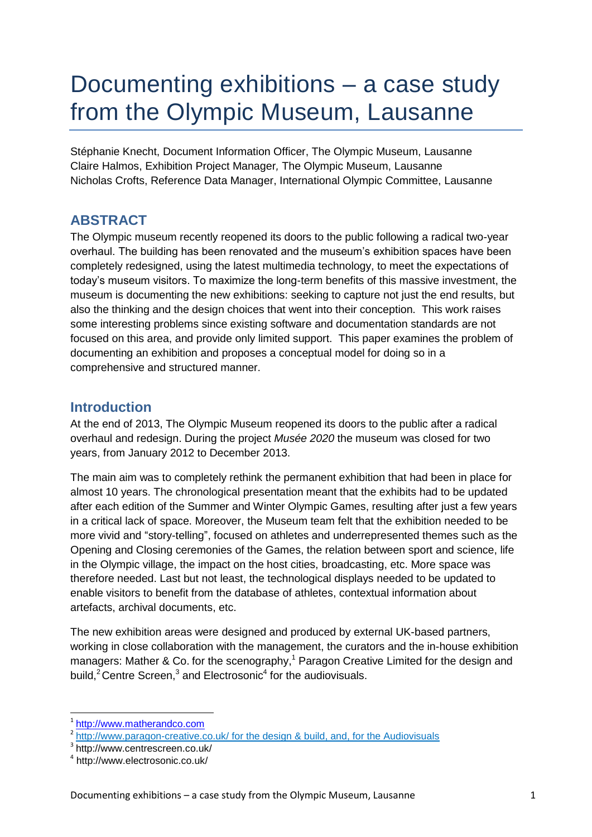# Documenting exhibitions – a case study from the Olympic Museum, Lausanne

Stéphanie Knecht, Document Information Officer, The Olympic Museum, Lausanne Claire Halmos, Exhibition Project Manager*,* The Olympic Museum, Lausanne Nicholas Crofts, Reference Data Manager, International Olympic Committee, Lausanne

# **ABSTRACT**

The Olympic museum recently reopened its doors to the public following a radical two-year overhaul. The building has been renovated and the museum's exhibition spaces have been completely redesigned, using the latest multimedia technology, to meet the expectations of today's museum visitors. To maximize the long-term benefits of this massive investment, the museum is documenting the new exhibitions: seeking to capture not just the end results, but also the thinking and the design choices that went into their conception. This work raises some interesting problems since existing software and documentation standards are not focused on this area, and provide only limited support. This paper examines the problem of documenting an exhibition and proposes a conceptual model for doing so in a comprehensive and structured manner.

## **Introduction**

At the end of 2013, The Olympic Museum reopened its doors to the public after a radical overhaul and redesign. During the project *Musée 2020* the museum was closed for two years, from January 2012 to December 2013.

The main aim was to completely rethink the permanent exhibition that had been in place for almost 10 years. The chronological presentation meant that the exhibits had to be updated after each edition of the Summer and Winter Olympic Games, resulting after just a few years in a critical lack of space. Moreover, the Museum team felt that the exhibition needed to be more vivid and "story-telling", focused on athletes and underrepresented themes such as the Opening and Closing ceremonies of the Games, the relation between sport and science, life in the Olympic village, the impact on the host cities, broadcasting, etc. More space was therefore needed. Last but not least, the technological displays needed to be updated to enable visitors to benefit from the database of athletes, contextual information about artefacts, archival documents, etc.

The new exhibition areas were designed and produced by external UK-based partners, working in close collaboration with the management, the curators and the in-house exhibition managers: Mather & Co. for the scenography,<sup>1</sup> Paragon Creative Limited for the design and build,<sup>2</sup> Centre Screen,<sup>3</sup> and Electrosonic<sup>4</sup> for the audiovisuals.

1

<sup>1</sup> [http://www.matherandco.com](http://www.matherandco.com/)

<sup>&</sup>lt;sup>2</sup> <http://www.paragon-creative.co.uk/> for the design & build, and, for the Audiovisuals

<sup>3</sup> <http://www.centrescreen.co.uk/>

<sup>4</sup> <http://www.electrosonic.co.uk/>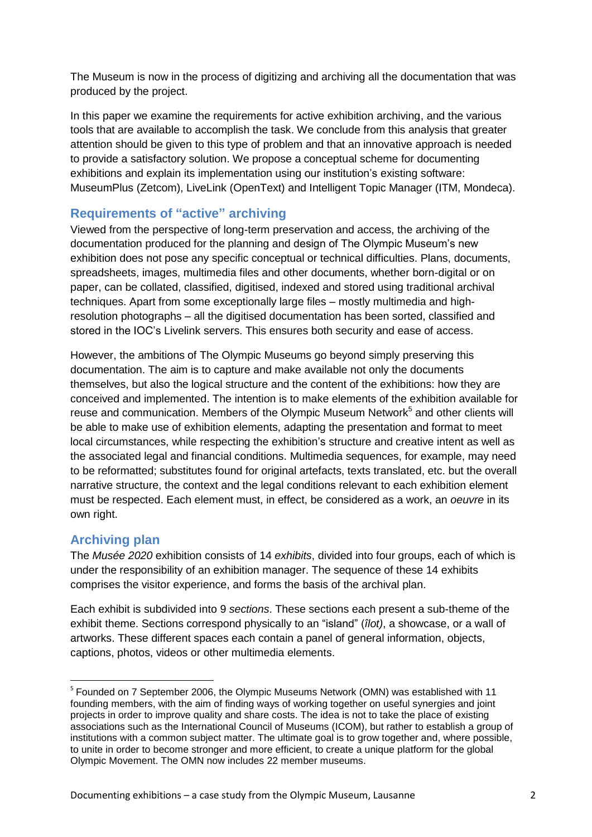The Museum is now in the process of digitizing and archiving all the documentation that was produced by the project.

In this paper we examine the requirements for active exhibition archiving, and the various tools that are available to accomplish the task. We conclude from this analysis that greater attention should be given to this type of problem and that an innovative approach is needed to provide a satisfactory solution. We propose a conceptual scheme for documenting exhibitions and explain its implementation using our institution's existing software: MuseumPlus (Zetcom), LiveLink (OpenText) and Intelligent Topic Manager (ITM, Mondeca).

#### **Requirements of "active" archiving**

Viewed from the perspective of long-term preservation and access, the archiving of the documentation produced for the planning and design of The Olympic Museum's new exhibition does not pose any specific conceptual or technical difficulties. Plans, documents, spreadsheets, images, multimedia files and other documents, whether born-digital or on paper, can be collated, classified, digitised, indexed and stored using traditional archival techniques. Apart from some exceptionally large files – mostly multimedia and highresolution photographs – all the digitised documentation has been sorted, classified and stored in the IOC's Livelink servers. This ensures both security and ease of access.

However, the ambitions of The Olympic Museums go beyond simply preserving this documentation. The aim is to capture and make available not only the documents themselves, but also the logical structure and the content of the exhibitions: how they are conceived and implemented. The intention is to make elements of the exhibition available for reuse and communication. Members of the Olympic Museum Network<sup>5</sup> and other clients will be able to make use of exhibition elements, adapting the presentation and format to meet local circumstances, while respecting the exhibition's structure and creative intent as well as the associated legal and financial conditions. Multimedia sequences, for example, may need to be reformatted; substitutes found for original artefacts, texts translated, etc. but the overall narrative structure, the context and the legal conditions relevant to each exhibition element must be respected. Each element must, in effect, be considered as a work, an *oeuvre* in its own right.

#### **Archiving plan**

**.** 

The *Musée 2020* exhibition consists of 14 *exhibits*, divided into four groups, each of which is under the responsibility of an exhibition manager. The sequence of these 14 exhibits comprises the visitor experience, and forms the basis of the archival plan.

Each exhibit is subdivided into 9 *sections*. These sections each present a sub-theme of the exhibit theme. Sections correspond physically to an "island" (*îlot)*, a showcase, or a wall of artworks. These different spaces each contain a panel of general information, objects, captions, photos, videos or other multimedia elements.

<sup>&</sup>lt;sup>5</sup> Founded on 7 September 2006, the Olympic Museums Network (OMN) was established with 11 founding members, with the aim of finding ways of working together on useful synergies and joint projects in order to improve quality and share costs. The idea is not to take the place of existing associations such as the International Council of Museums (ICOM), but rather to establish a group of institutions with a common subject matter. The ultimate goal is to grow together and, where possible, to unite in order to become stronger and more efficient, to create a unique platform for the global Olympic Movement. The OMN now includes 22 member museums.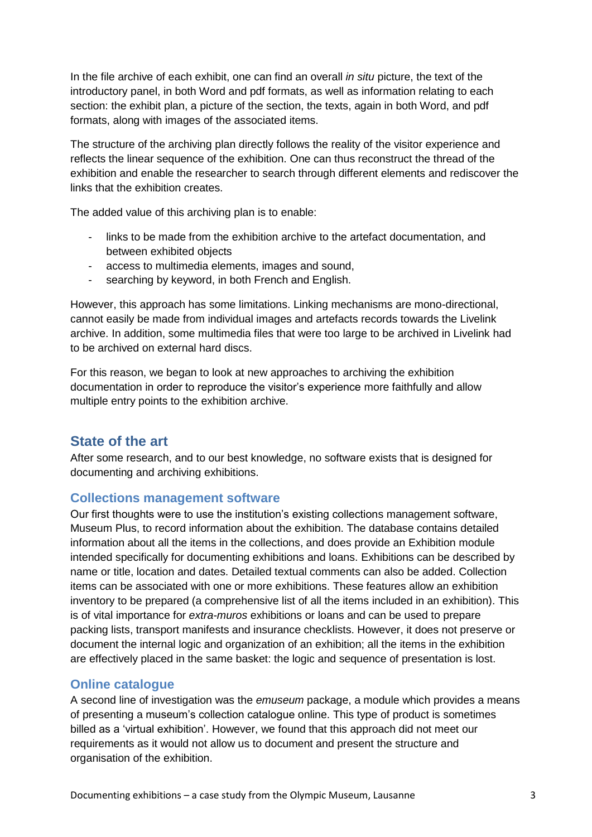In the file archive of each exhibit, one can find an overall *in situ* picture, the text of the introductory panel, in both Word and pdf formats, as well as information relating to each section: the exhibit plan, a picture of the section, the texts, again in both Word, and pdf formats, along with images of the associated items.

The structure of the archiving plan directly follows the reality of the visitor experience and reflects the linear sequence of the exhibition. One can thus reconstruct the thread of the exhibition and enable the researcher to search through different elements and rediscover the links that the exhibition creates.

The added value of this archiving plan is to enable:

- links to be made from the exhibition archive to the artefact documentation, and between exhibited objects
- access to multimedia elements, images and sound,
- searching by keyword, in both French and English.

However, this approach has some limitations. Linking mechanisms are mono-directional, cannot easily be made from individual images and artefacts records towards the Livelink archive. In addition, some multimedia files that were too large to be archived in Livelink had to be archived on external hard discs.

For this reason, we began to look at new approaches to archiving the exhibition documentation in order to reproduce the visitor's experience more faithfully and allow multiple entry points to the exhibition archive.

#### **State of the art**

After some research, and to our best knowledge, no software exists that is designed for documenting and archiving exhibitions.

#### **Collections management software**

Our first thoughts were to use the institution's existing collections management software, Museum Plus, to record information about the exhibition. The database contains detailed information about all the items in the collections, and does provide an Exhibition module intended specifically for documenting exhibitions and loans. Exhibitions can be described by name or title, location and dates. Detailed textual comments can also be added. Collection items can be associated with one or more exhibitions. These features allow an exhibition inventory to be prepared (a comprehensive list of all the items included in an exhibition). This is of vital importance for *extra-muros* exhibitions or loans and can be used to prepare packing lists, transport manifests and insurance checklists. However, it does not preserve or document the internal logic and organization of an exhibition; all the items in the exhibition are effectively placed in the same basket: the logic and sequence of presentation is lost.

#### **Online catalogue**

A second line of investigation was the *emuseum* package, a module which provides a means of presenting a museum's collection catalogue online. This type of product is sometimes billed as a 'virtual exhibition'. However, we found that this approach did not meet our requirements as it would not allow us to document and present the structure and organisation of the exhibition.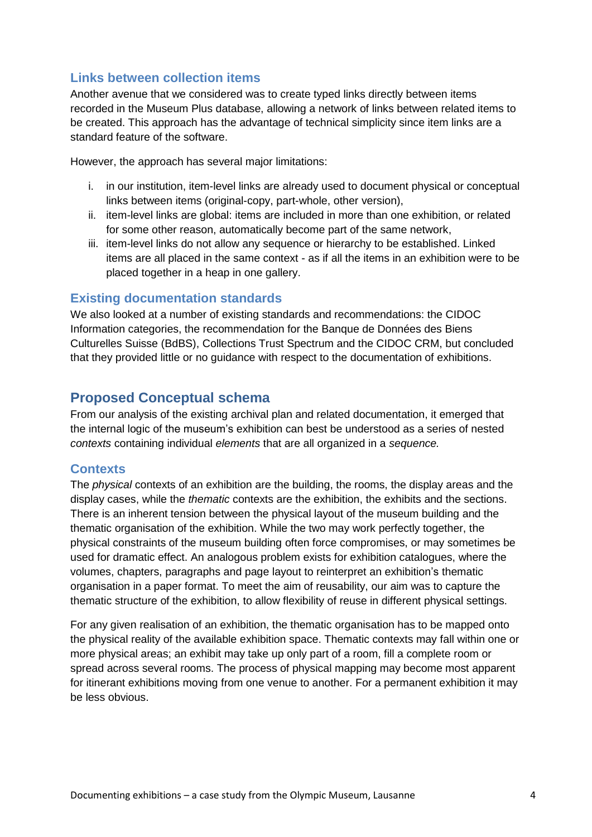#### **Links between collection items**

Another avenue that we considered was to create typed links directly between items recorded in the Museum Plus database, allowing a network of links between related items to be created. This approach has the advantage of technical simplicity since item links are a standard feature of the software.

However, the approach has several major limitations:

- i. in our institution, item-level links are already used to document physical or conceptual links between items (original-copy, part-whole, other version),
- ii. item-level links are global: items are included in more than one exhibition, or related for some other reason, automatically become part of the same network,
- iii. item-level links do not allow any sequence or hierarchy to be established. Linked items are all placed in the same context - as if all the items in an exhibition were to be placed together in a heap in one gallery.

#### **Existing documentation standards**

We also looked at a number of existing standards and recommendations: the CIDOC Information categories, the recommendation for the Banque de Données des Biens Culturelles Suisse (BdBS), Collections Trust Spectrum and the CIDOC CRM, but concluded that they provided little or no guidance with respect to the documentation of exhibitions.

## **Proposed Conceptual schema**

From our analysis of the existing archival plan and related documentation, it emerged that the internal logic of the museum's exhibition can best be understood as a series of nested *contexts* containing individual *elements* that are all organized in a *sequence.*

#### **Contexts**

The *physical* contexts of an exhibition are the building, the rooms, the display areas and the display cases, while the *thematic* contexts are the exhibition, the exhibits and the sections. There is an inherent tension between the physical layout of the museum building and the thematic organisation of the exhibition. While the two may work perfectly together, the physical constraints of the museum building often force compromises, or may sometimes be used for dramatic effect. An analogous problem exists for exhibition catalogues, where the volumes, chapters, paragraphs and page layout to reinterpret an exhibition's thematic organisation in a paper format. To meet the aim of reusability, our aim was to capture the thematic structure of the exhibition, to allow flexibility of reuse in different physical settings.

For any given realisation of an exhibition, the thematic organisation has to be mapped onto the physical reality of the available exhibition space. Thematic contexts may fall within one or more physical areas; an exhibit may take up only part of a room, fill a complete room or spread across several rooms. The process of physical mapping may become most apparent for itinerant exhibitions moving from one venue to another. For a permanent exhibition it may be less obvious.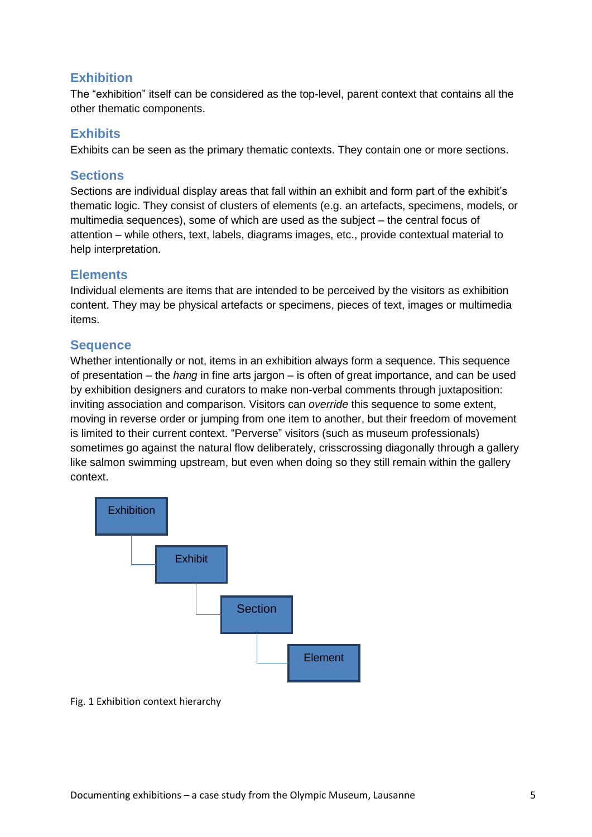#### **Exhibition**

The "exhibition" itself can be considered as the top-level, parent context that contains all the other thematic components.

#### **Exhibits**

Exhibits can be seen as the primary thematic contexts. They contain one or more sections.

#### **Sections**

Sections are individual display areas that fall within an exhibit and form part of the exhibit's thematic logic. They consist of clusters of elements (e.g. an artefacts, specimens, models, or multimedia sequences), some of which are used as the subject – the central focus of attention – while others, text, labels, diagrams images, etc., provide contextual material to help interpretation.

#### **Elements**

Individual elements are items that are intended to be perceived by the visitors as exhibition content. They may be physical artefacts or specimens, pieces of text, images or multimedia items.

#### **Sequence**

Whether intentionally or not, items in an exhibition always form a sequence. This sequence of presentation – the *hang* in fine arts jargon – is often of great importance, and can be used by exhibition designers and curators to make non-verbal comments through juxtaposition: inviting association and comparison. Visitors can *override* this sequence to some extent, moving in reverse order or jumping from one item to another, but their freedom of movement is limited to their current context. "Perverse" visitors (such as museum professionals) sometimes go against the natural flow deliberately, crisscrossing diagonally through a gallery like salmon swimming upstream, but even when doing so they still remain within the gallery context.



Fig. 1 Exhibition context hierarchy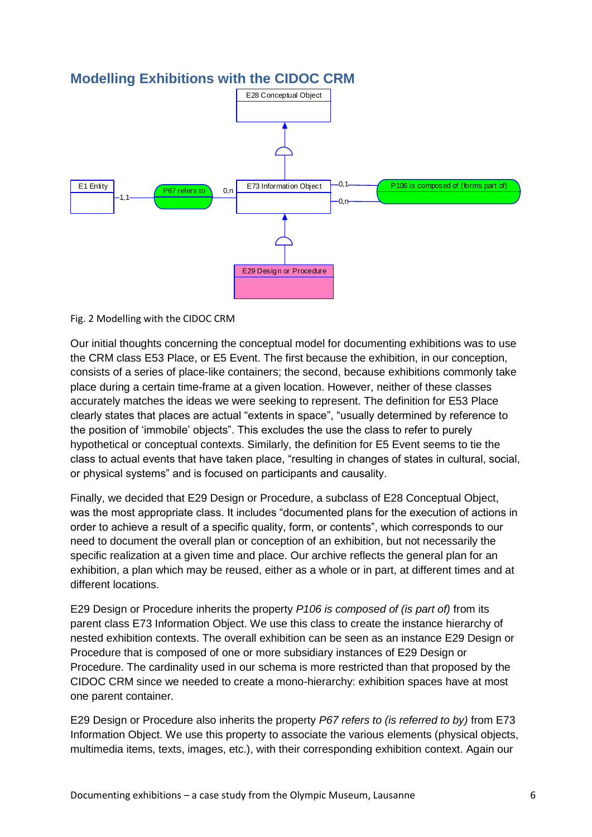

# **Modelling Exhibitions with the CIDOC CRM**

Fig. 2 Modelling with the CIDOC CRM

Our initial thoughts concerning the conceptual model for documenting exhibitions was to use the CRM class E53 Place, or E5 Event. The first because the exhibition, in our conception, consists of a series of place-like containers; the second, because exhibitions commonly take place during a certain time-frame at a given location. However, neither of these classes accurately matches the ideas we were seeking to represent. The definition for E53 Place clearly states that places are actual "extents in space", "usually determined by reference to the position of 'immobile' objects". This excludes the use the class to refer to purely hypothetical or conceptual contexts. Similarly, the definition for E5 Event seems to tie the class to actual events that have taken place, "resulting in changes of states in cultural, social, or physical systems" and is focused on participants and causality.

Finally, we decided that E29 Design or Procedure, a subclass of E28 Conceptual Object, was the most appropriate class. It includes "documented plans for the execution of actions in order to achieve a result of a specific quality, form, or contents", which corresponds to our need to document the overall plan or conception of an exhibition, but not necessarily the specific realization at a given time and place. Our archive reflects the general plan for an exhibition, a plan which may be reused, either as a whole or in part, at different times and at different locations.

E29 Design or Procedure inherits the property *P106 is composed of (is part of)* from its parent class E73 Information Object. We use this class to create the instance hierarchy of nested exhibition contexts. The overall exhibition can be seen as an instance E29 Design or Procedure that is composed of one or more subsidiary instances of E29 Design or Procedure. The cardinality used in our schema is more restricted than that proposed by the CIDOC CRM since we needed to create a mono-hierarchy: exhibition spaces have at most one parent container.

E29 Design or Procedure also inherits the property *P67 refers to (is referred to by)* from E73 Information Object. We use this property to associate the various elements (physical objects, multimedia items, texts, images, etc.), with their corresponding exhibition context. Again our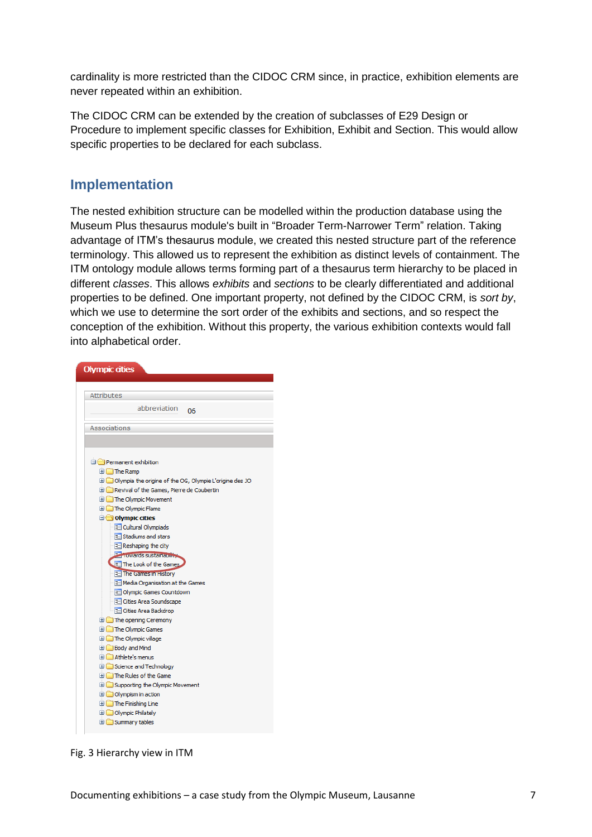cardinality is more restricted than the CIDOC CRM since, in practice, exhibition elements are never repeated within an exhibition.

The CIDOC CRM can be extended by the creation of subclasses of E29 Design or Procedure to implement specific classes for Exhibition, Exhibit and Section. This would allow specific properties to be declared for each subclass.

### **Implementation**

The nested exhibition structure can be modelled within the production database using the Museum Plus thesaurus module's built in "Broader Term-Narrower Term" relation. Taking advantage of ITM's thesaurus module, we created this nested structure part of the reference terminology. This allowed us to represent the exhibition as distinct levels of containment. The ITM ontology module allows terms forming part of a thesaurus term hierarchy to be placed in different *classes*. This allows *exhibits* and *sections* to be clearly differentiated and additional properties to be defined. One important property, not defined by the CIDOC CRM, is *sort by*, which we use to determine the sort order of the exhibits and sections, and so respect the conception of the exhibition. Without this property, the various exhibition contexts would fall into alphabetical order.



Fig. 3 Hierarchy view in ITM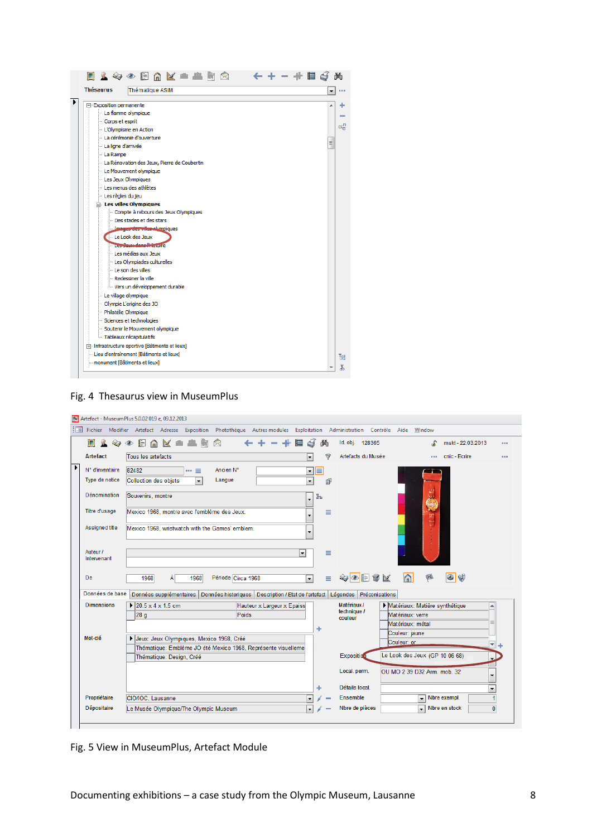| <b>Thésaurus</b>        | Thématique ASIM                                 |   |
|-------------------------|-------------------------------------------------|---|
| F Exposition permanente |                                                 |   |
|                         | La flamme olympique                             |   |
| Corps et esprit         |                                                 |   |
|                         | - L'Olympisme en Action                         |   |
|                         | La cérémonie d'ouverture                        |   |
| La ligne d'arrivée      |                                                 | Ξ |
| - La Rampe              |                                                 |   |
|                         | La Rénovation des Jeux, Pierre de Coubertin     |   |
|                         | Le Mouvement olympique                          |   |
|                         | Les Jeux Olympiques                             |   |
|                         | Les menus des athlètes                          |   |
| - Les règles du jeu     |                                                 |   |
|                         | <b>El Les villes Olympiques</b>                 |   |
|                         | Compte à rebours des Jeux Olympiques            |   |
|                         | Des stades et des stars                         |   |
|                         | Images des villes elympiques                    |   |
|                         | - Le Look des Jeux                              |   |
|                         | <b>The Mauss dans Printing</b>                  |   |
|                         | - Les médias aux Jeux                           |   |
|                         | Les Olympiades culturelles                      |   |
|                         | Le son des villes                               |   |
|                         | - Redessiner la ville                           |   |
|                         | Wers un développement durable                   |   |
|                         | - Le village olympique                          |   |
|                         | - Olympie L'origine des JO                      |   |
|                         | - Philatélie Olympique                          |   |
|                         | Sciences et technologies                        |   |
|                         | Soutenir le Mouvement olympique                 |   |
|                         | Tableaux récapitulatifs                         |   |
|                         | in Infrastructure sportive [Bâtiments et lieux] |   |
|                         | Lieu d'entrainement [Bâtiments et lieux]        |   |
|                         | monument [Bâtiments et lieux]                   |   |



| $\Omega$<br>直                                         | 嘉 新<br>$\triangleright$<br>$\otimes \circ \blacksquare$<br>$\mathbb{R}$<br>n                                 | 尚                         | Id. obj. 128365    | mskt - 22.03.2013<br>S                             | ---                      |
|-------------------------------------------------------|--------------------------------------------------------------------------------------------------------------|---------------------------|--------------------|----------------------------------------------------|--------------------------|
| <b>Artefact</b>                                       | Tous les artefacts                                                                                           | 7                         | Artefacts du Musée | cnic - Ecrire<br><b>A 6 6 7</b>                    |                          |
| N° d'inventaire                                       | 82482<br>Ancien <sub>N°</sub><br>$\cdots \equiv$                                                             | E<br>$\blacktriangledown$ |                    |                                                    |                          |
| Type de notice                                        | Langue<br>Collection des objets<br>$\blacktriangledown$                                                      | $\blacktriangledown$<br>卣 |                    |                                                    |                          |
| <b>Dénomination</b>                                   | Souvenirs, montre                                                                                            | 品                         |                    | gm.<br>壓                                           |                          |
| Titre d'usage                                         | Mexico 1968, montre avec l'emblème des Jeux.                                                                 | ≡                         |                    | H<br>gn<br>To                                      |                          |
| Assigned title                                        | Mexico 1968, wristwatch with the Games' emblem.                                                              |                           |                    |                                                    |                          |
| Auteur /<br>Intervenant                               |                                                                                                              | Ξ<br>$\blacktriangledown$ |                    |                                                    |                          |
|                                                       |                                                                                                              |                           |                    |                                                    |                          |
|                                                       | 1968<br>Période Circa 1968<br>1968<br>Ál                                                                     | Ξ<br>$\vert \cdot \vert$  | չ◎⊟9⊻              | $\Omega$<br>$\mathbb{Z}$<br>$\circ$<br>邻           |                          |
|                                                       | Données supplémentaires   Données historiques   Description / Etat de l'artefact   Légendes   Préconisations |                           | Matériaux /        |                                                    |                          |
|                                                       | $\triangleright$ 20.5 x 4 x 1.5 cm<br>Hauteur x Largeur x Epaiss<br>Poids<br>28 <sub>g</sub>                 |                           | technique /        | Matériaux: Matière synthétique<br>Matériaux: verre | ▲                        |
|                                                       |                                                                                                              |                           | couleur            | Matériaux: métal                                   | $\equiv$                 |
|                                                       |                                                                                                              |                           |                    | Couleur: jaune                                     |                          |
| De<br>Données de base<br><b>Dimensions</b><br>Mot-clé | Jeux: Jeux Olympiques, Mexico 1968, Créé<br>Thématique: Emblème JO été Mexico 1968, Représente visuelleme    |                           |                    | Couleur: or                                        | ٠                        |
|                                                       | Thématique: Design, Créé                                                                                     |                           | Exposition         | Le Look des Jeux (GP 10 06 68)                     | $\overline{\phantom{0}}$ |
|                                                       |                                                                                                              |                           | Local. perm.       | OU MO 2 39 D32 Arm. mob. 32                        | ٠                        |
|                                                       |                                                                                                              |                           | Détails local.     |                                                    | $\overline{\phantom{a}}$ |
| Propriétaire                                          | CIO/IOC, Lausanne                                                                                            | $\blacktriangledown$      | Ensemble           | Nbre exempl.<br>$\overline{\phantom{a}}$           | $\blacksquare$           |

Fig. 5 View in MuseumPlus, Artefact Module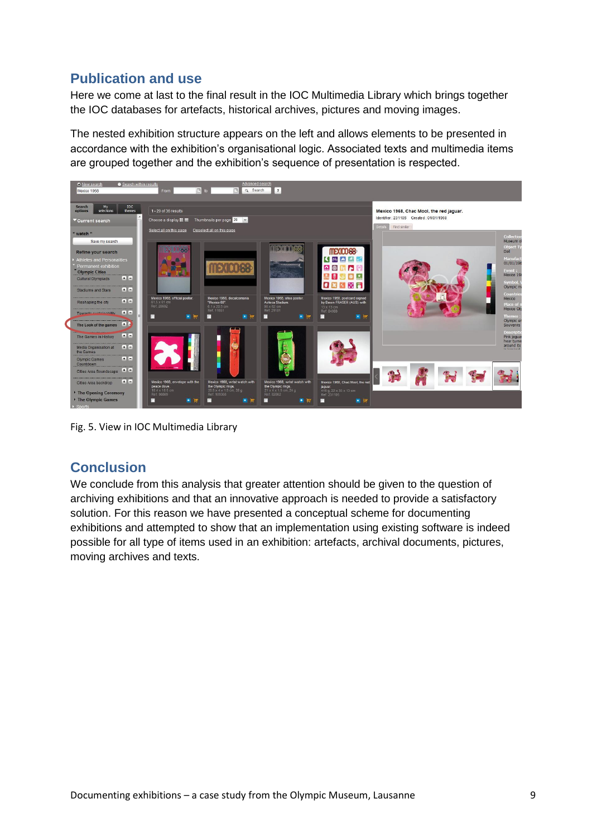# **Publication and use**

Here we come at last to the final result in the IOC Multimedia Library which brings together the IOC databases for artefacts, historical archives, pictures and moving images.

The nested exhibition structure appears on the left and allows elements to be presented in accordance with the exhibition's organisational logic. Associated texts and multimedia items are grouped together and the exhibition's sequence of presentation is respected.



Fig. 5. View in IOC Multimedia Library

# **Conclusion**

We conclude from this analysis that greater attention should be given to the question of archiving exhibitions and that an innovative approach is needed to provide a satisfactory solution. For this reason we have presented a conceptual scheme for documenting exhibitions and attempted to show that an implementation using existing software is indeed possible for all type of items used in an exhibition: artefacts, archival documents, pictures, moving archives and texts.